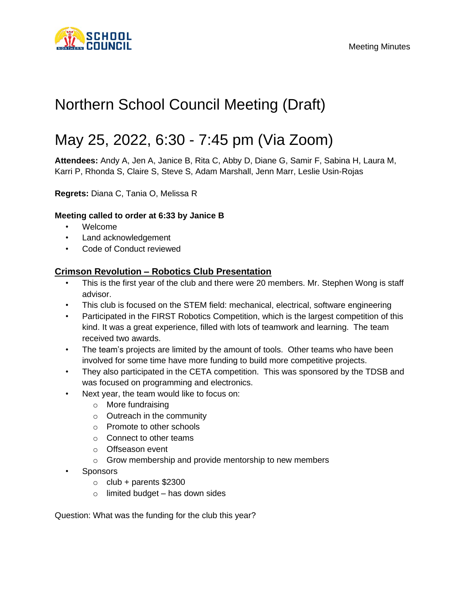

# Northern School Council Meeting (Draft)

# May 25, 2022, 6:30 - 7:45 pm (Via Zoom)

**Attendees:** Andy A, Jen A, Janice B, Rita C, Abby D, Diane G, Samir F, Sabina H, Laura M, Karri P, Rhonda S, Claire S, Steve S, Adam Marshall, Jenn Marr, Leslie Usin-Rojas

**Regrets:** Diana C, Tania O, Melissa R

#### **Meeting called to order at 6:33 by Janice B**

- Welcome
- Land acknowledgement
- Code of Conduct reviewed

## **Crimson Revolution – Robotics Club Presentation**

- This is the first year of the club and there were 20 members. Mr. Stephen Wong is staff advisor.
- This club is focused on the STEM field: mechanical, electrical, software engineering
- Participated in the FIRST Robotics Competition, which is the largest competition of this kind. It was a great experience, filled with lots of teamwork and learning. The team received two awards.
- The team's projects are limited by the amount of tools. Other teams who have been involved for some time have more funding to build more competitive projects.
- They also participated in the CETA competition. This was sponsored by the TDSB and was focused on programming and electronics.
- Next year, the team would like to focus on:
	- o More fundraising
	- o Outreach in the community
	- o Promote to other schools
	- o Connect to other teams
	- o Offseason event
	- o Grow membership and provide mentorship to new members
- **Sponsors** 
	- $\circ$  club + parents \$2300
	- $\circ$  limited budget has down sides

Question: What was the funding for the club this year?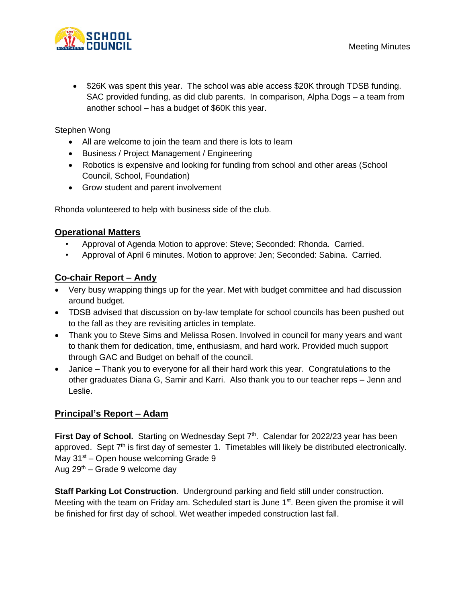

• \$26K was spent this year. The school was able access \$20K through TDSB funding. SAC provided funding, as did club parents. In comparison, Alpha Dogs – a team from another school – has a budget of \$60K this year.

Stephen Wong

- All are welcome to join the team and there is lots to learn
- Business / Project Management / Engineering
- Robotics is expensive and looking for funding from school and other areas (School Council, School, Foundation)
- Grow student and parent involvement

Rhonda volunteered to help with business side of the club.

## **Operational Matters**

- Approval of Agenda Motion to approve: Steve; Seconded: Rhonda. Carried.
- Approval of April 6 minutes. Motion to approve: Jen; Seconded: Sabina. Carried.

## **Co-chair Report – Andy**

- Very busy wrapping things up for the year. Met with budget committee and had discussion around budget.
- TDSB advised that discussion on by-law template for school councils has been pushed out to the fall as they are revisiting articles in template.
- Thank you to Steve Sims and Melissa Rosen. Involved in council for many years and want to thank them for dedication, time, enthusiasm, and hard work. Provided much support through GAC and Budget on behalf of the council.
- Janice Thank you to everyone for all their hard work this year. Congratulations to the other graduates Diana G, Samir and Karri. Also thank you to our teacher reps – Jenn and Leslie.

## **Principal's Report – Adam**

First Day of School. Starting on Wednesday Sept 7<sup>th</sup>. Calendar for 2022/23 year has been approved. Sept  $7<sup>th</sup>$  is first day of semester 1. Timetables will likely be distributed electronically. May  $31<sup>st</sup>$  – Open house welcoming Grade 9 Aug  $29<sup>th</sup>$  – Grade 9 welcome day

**Staff Parking Lot Construction**. Underground parking and field still under construction. Meeting with the team on Friday am. Scheduled start is June 1<sup>st</sup>. Been given the promise it will be finished for first day of school. Wet weather impeded construction last fall.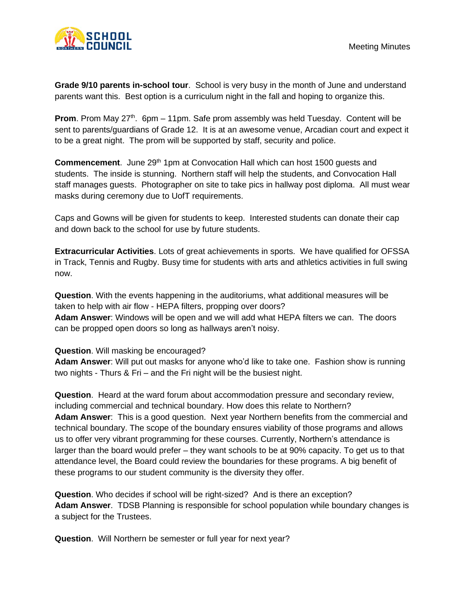**Grade 9/10 parents in-school tour**. School is very busy in the month of June and understand parents want this. Best option is a curriculum night in the fall and hoping to organize this.

**Prom**. Prom May 27<sup>th</sup>. 6pm – 11pm. Safe prom assembly was held Tuesday. Content will be sent to parents/guardians of Grade 12. It is at an awesome venue, Arcadian court and expect it to be a great night. The prom will be supported by staff, security and police.

**Commencement.** June 29<sup>th</sup> 1pm at Convocation Hall which can host 1500 quests and students. The inside is stunning. Northern staff will help the students, and Convocation Hall staff manages guests. Photographer on site to take pics in hallway post diploma. All must wear masks during ceremony due to UofT requirements.

Caps and Gowns will be given for students to keep. Interested students can donate their cap and down back to the school for use by future students.

**Extracurricular Activities**. Lots of great achievements in sports. We have qualified for OFSSA in Track, Tennis and Rugby. Busy time for students with arts and athletics activities in full swing now.

**Question**. With the events happening in the auditoriums, what additional measures will be taken to help with air flow - HEPA filters, propping over doors? **Adam Answer**: Windows will be open and we will add what HEPA filters we can. The doors can be propped open doors so long as hallways aren't noisy.

#### **Question**. Will masking be encouraged?

**Adam Answer**: Will put out masks for anyone who'd like to take one. Fashion show is running two nights - Thurs & Fri – and the Fri night will be the busiest night.

**Question**. Heard at the ward forum about accommodation pressure and secondary review, including commercial and technical boundary. How does this relate to Northern? **Adam Answer**: This is a good question. Next year Northern benefits from the commercial and technical boundary. The scope of the boundary ensures viability of those programs and allows us to offer very vibrant programming for these courses. Currently, Northern's attendance is larger than the board would prefer – they want schools to be at 90% capacity. To get us to that attendance level, the Board could review the boundaries for these programs. A big benefit of these programs to our student community is the diversity they offer.

**Question**. Who decides if school will be right-sized? And is there an exception? **Adam Answer**. TDSB Planning is responsible for school population while boundary changes is a subject for the Trustees.

**Question**. Will Northern be semester or full year for next year?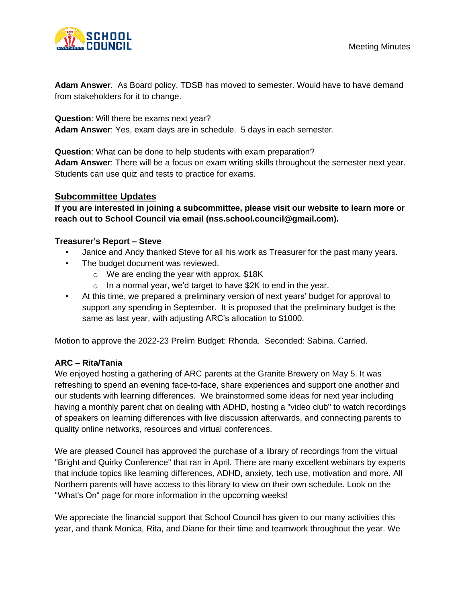

**Adam Answer**. As Board policy, TDSB has moved to semester. Would have to have demand from stakeholders for it to change.

**Question**: Will there be exams next year? **Adam Answer**: Yes, exam days are in schedule. 5 days in each semester.

**Question**: What can be done to help students with exam preparation?

**Adam Answer**: There will be a focus on exam writing skills throughout the semester next year. Students can use quiz and tests to practice for exams.

## **Subcommittee Updates**

**If you are interested in joining a subcommittee, please visit our website to learn more or reach out to School Council via email [\(nss.school.council@gmail.com\)](mailto:nss.school.council@gmail.com).** 

#### **Treasurer's Report – Steve**

- Janice and Andy thanked Steve for all his work as Treasurer for the past many years.
- The budget document was reviewed.
	- o We are ending the year with approx. \$18K
	- $\circ$  In a normal year, we'd target to have \$2K to end in the year.
- At this time, we prepared a preliminary version of next years' budget for approval to support any spending in September. It is proposed that the preliminary budget is the same as last year, with adjusting ARC's allocation to \$1000.

Motion to approve the 2022-23 Prelim Budget: Rhonda. Seconded: Sabina. Carried.

#### **ARC – Rita/Tania**

We enjoyed hosting a gathering of ARC parents at the Granite Brewery on May 5. It was refreshing to spend an evening face-to-face, share experiences and support one another and our students with learning differences. We brainstormed some ideas for next year including having a monthly parent chat on dealing with ADHD, hosting a "video club" to watch recordings of speakers on learning differences with live discussion afterwards, and connecting parents to quality online networks, resources and virtual conferences.

We are pleased Council has approved the purchase of a library of recordings from the virtual "Bright and Quirky Conference" that ran in April. There are many excellent webinars by experts that include topics like learning differences, ADHD, anxiety, tech use, motivation and more. All Northern parents will have access to this library to view on their own schedule. Look on the "What's On" page for more information in the upcoming weeks!

We appreciate the financial support that School Council has given to our many activities this year, and thank Monica, Rita, and Diane for their time and teamwork throughout the year. We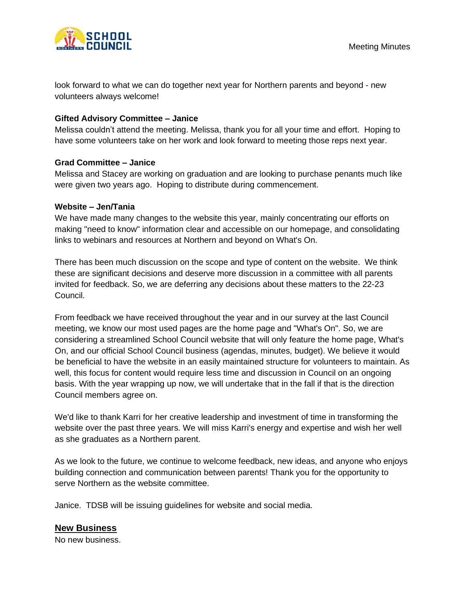

look forward to what we can do together next year for Northern parents and beyond - new volunteers always welcome!

#### **Gifted Advisory Committee – Janice**

Melissa couldn't attend the meeting. Melissa, thank you for all your time and effort. Hoping to have some volunteers take on her work and look forward to meeting those reps next year.

#### **Grad Committee – Janice**

Melissa and Stacey are working on graduation and are looking to purchase penants much like were given two years ago. Hoping to distribute during commencement.

#### **Website – Jen/Tania**

We have made many changes to the website this year, mainly concentrating our efforts on making "need to know" information clear and accessible on our homepage, and consolidating links to webinars and resources at Northern and beyond on What's On.

There has been much discussion on the scope and type of content on the website. We think these are significant decisions and deserve more discussion in a committee with all parents invited for feedback. So, we are deferring any decisions about these matters to the 22-23 Council.

From feedback we have received throughout the year and in our survey at the last Council meeting, we know our most used pages are the home page and "What's On". So, we are considering a streamlined School Council website that will only feature the home page, What's On, and our official School Council business (agendas, minutes, budget). We believe it would be beneficial to have the website in an easily maintained structure for volunteers to maintain. As well, this focus for content would require less time and discussion in Council on an ongoing basis. With the year wrapping up now, we will undertake that in the fall if that is the direction Council members agree on.

We'd like to thank Karri for her creative leadership and investment of time in transforming the website over the past three years. We will miss Karri's energy and expertise and wish her well as she graduates as a Northern parent.

As we look to the future, we continue to welcome feedback, new ideas, and anyone who enjoys building connection and communication between parents! Thank you for the opportunity to serve Northern as the website committee.

Janice. TDSB will be issuing guidelines for website and social media.

## **New Business**

No new business.